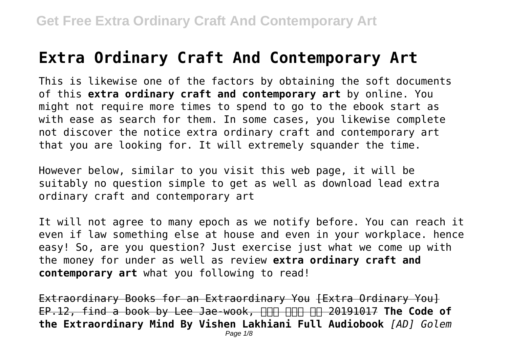## **Extra Ordinary Craft And Contemporary Art**

This is likewise one of the factors by obtaining the soft documents of this **extra ordinary craft and contemporary art** by online. You might not require more times to spend to go to the ebook start as with ease as search for them. In some cases, you likewise complete not discover the notice extra ordinary craft and contemporary art that you are looking for. It will extremely squander the time.

However below, similar to you visit this web page, it will be suitably no question simple to get as well as download lead extra ordinary craft and contemporary art

It will not agree to many epoch as we notify before. You can reach it even if law something else at house and even in your workplace. hence easy! So, are you question? Just exercise just what we come up with the money for under as well as review **extra ordinary craft and contemporary art** what you following to read!

Extraordinary Books for an Extraordinary You [Extra Ordinary You] EP.12, find a book by Lee Jae-wook, **ANA ANA 199 20191017 The Code of the Extraordinary Mind By Vishen Lakhiani Full Audiobook** *[AD] Golem*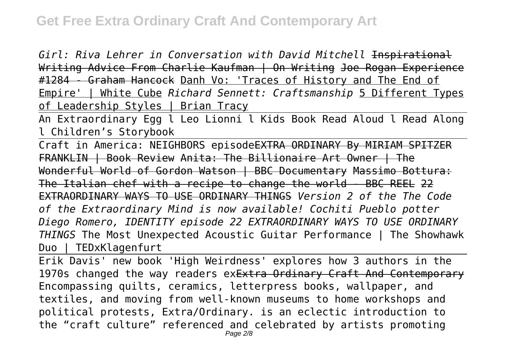*Girl: Riva Lehrer in Conversation with David Mitchell* Inspirational Writing Advice From Charlie Kaufman | On Writing Joe Rogan Experience #1284 - Graham Hancock Danh Vo: 'Traces of History and The End of Empire' | White Cube *Richard Sennett: Craftsmanship* 5 Different Types of Leadership Styles | Brian Tracy

An Extraordinary Egg l Leo Lionni l Kids Book Read Aloud l Read Along l Children's Storybook

Craft in America: NEIGHBORS episodeEXTRA ORDINARY By MIRIAM SPITZER FRANKLIN | Book Review Anita: The Billionaire Art Owner | The Wonderful World of Gordon Watson | BBC Documentary Massimo Bottura: The Italian chef with a recipe to change the world - BBC REEL 22 EXTRAORDINARY WAYS TO USE ORDINARY THINGS *Version 2 of the The Code of the Extraordinary Mind is now available! Cochiti Pueblo potter Diego Romero, IDENTITY episode 22 EXTRAORDINARY WAYS TO USE ORDINARY THINGS* The Most Unexpected Acoustic Guitar Performance | The Showhawk Duo | TEDxKlagenfurt

Erik Davis' new book 'High Weirdness' explores how 3 authors in the 1970s changed the way readers exExtra Ordinary Craft And Contemporary Encompassing quilts, ceramics, letterpress books, wallpaper, and textiles, and moving from well-known museums to home workshops and political protests, Extra/Ordinary. is an eclectic introduction to the "craft culture" referenced and celebrated by artists promoting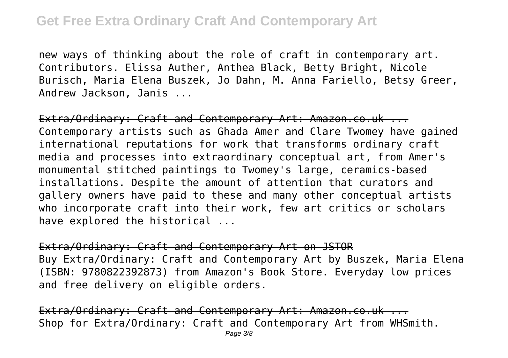new ways of thinking about the role of craft in contemporary art. Contributors. Elissa Auther, Anthea Black, Betty Bright, Nicole Burisch, Maria Elena Buszek, Jo Dahn, M. Anna Fariello, Betsy Greer, Andrew Jackson, Janis ...

Extra/Ordinary: Craft and Contemporary Art: Amazon.co.uk ... Contemporary artists such as Ghada Amer and Clare Twomey have gained international reputations for work that transforms ordinary craft media and processes into extraordinary conceptual art, from Amer's monumental stitched paintings to Twomey's large, ceramics-based installations. Despite the amount of attention that curators and gallery owners have paid to these and many other conceptual artists who incorporate craft into their work, few art critics or scholars have explored the historical ...

Extra/Ordinary: Craft and Contemporary Art on JSTOR Buy Extra/Ordinary: Craft and Contemporary Art by Buszek, Maria Elena (ISBN: 9780822392873) from Amazon's Book Store. Everyday low prices and free delivery on eligible orders.

Extra/Ordinary: Craft and Contemporary Art: Amazon.co.uk ... Shop for Extra/Ordinary: Craft and Contemporary Art from WHSmith.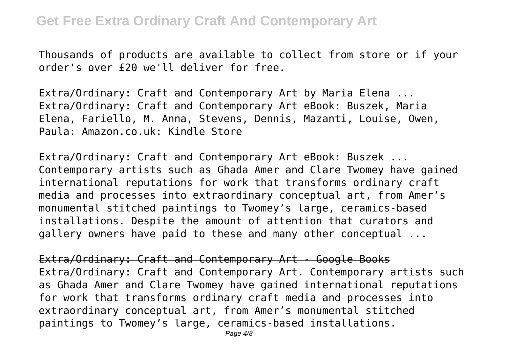Thousands of products are available to collect from store or if your order's over £20 we'll deliver for free.

Extra/Ordinary: Craft and Contemporary Art by Maria Elena ... Extra/Ordinary: Craft and Contemporary Art eBook: Buszek, Maria Elena, Fariello, M. Anna, Stevens, Dennis, Mazanti, Louise, Owen, Paula: Amazon.co.uk: Kindle Store

Extra/Ordinary: Craft and Contemporary Art eBook: Buszek ... Contemporary artists such as Ghada Amer and Clare Twomey have gained international reputations for work that transforms ordinary craft media and processes into extraordinary conceptual art, from Amer's monumental stitched paintings to Twomey's large, ceramics-based installations. Despite the amount of attention that curators and gallery owners have paid to these and many other conceptual ...

Extra/Ordinary: Craft and Contemporary Art - Google Books Extra/Ordinary: Craft and Contemporary Art. Contemporary artists such as Ghada Amer and Clare Twomey have gained international reputations for work that transforms ordinary craft media and processes into extraordinary conceptual art, from Amer's monumental stitched paintings to Twomey's large, ceramics-based installations.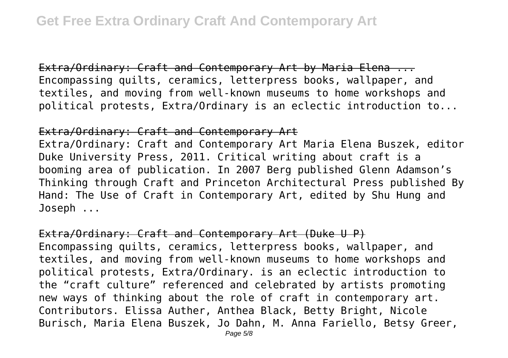Extra/Ordinary: Craft and Contemporary Art by Maria Elena ... Encompassing quilts, ceramics, letterpress books, wallpaper, and textiles, and moving from well-known museums to home workshops and political protests, Extra/Ordinary is an eclectic introduction to...

## Extra/Ordinary: Craft and Contemporary Art

Extra/Ordinary: Craft and Contemporary Art Maria Elena Buszek, editor Duke University Press, 2011. Critical writing about craft is a booming area of publication. In 2007 Berg published Glenn Adamson's Thinking through Craft and Princeton Architectural Press published By Hand: The Use of Craft in Contemporary Art, edited by Shu Hung and Joseph ...

Extra/Ordinary: Craft and Contemporary Art (Duke U P) Encompassing quilts, ceramics, letterpress books, wallpaper, and textiles, and moving from well-known museums to home workshops and political protests, Extra/Ordinary. is an eclectic introduction to the "craft culture" referenced and celebrated by artists promoting new ways of thinking about the role of craft in contemporary art. Contributors. Elissa Auther, Anthea Black, Betty Bright, Nicole Burisch, Maria Elena Buszek, Jo Dahn, M. Anna Fariello, Betsy Greer,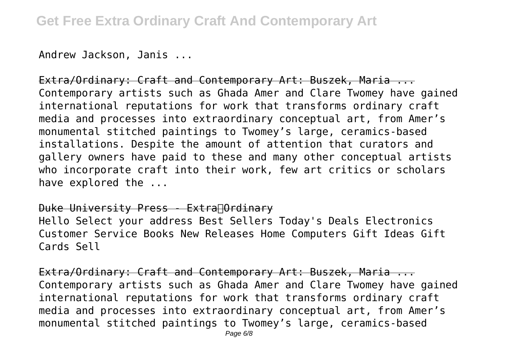Andrew Jackson, Janis ...

Extra/Ordinary: Craft and Contemporary Art: Buszek, Maria ... Contemporary artists such as Ghada Amer and Clare Twomey have gained international reputations for work that transforms ordinary craft media and processes into extraordinary conceptual art, from Amer's monumental stitched paintings to Twomey's large, ceramics-based installations. Despite the amount of attention that curators and gallery owners have paid to these and many other conceptual artists who incorporate craft into their work, few art critics or scholars have explored the ...

## Duke University Press - Extra∏Ordinary

Hello Select your address Best Sellers Today's Deals Electronics Customer Service Books New Releases Home Computers Gift Ideas Gift Cards Sell

Extra/Ordinary: Craft and Contemporary Art: Buszek, Maria ... Contemporary artists such as Ghada Amer and Clare Twomey have gained international reputations for work that transforms ordinary craft media and processes into extraordinary conceptual art, from Amer's monumental stitched paintings to Twomey's large, ceramics-based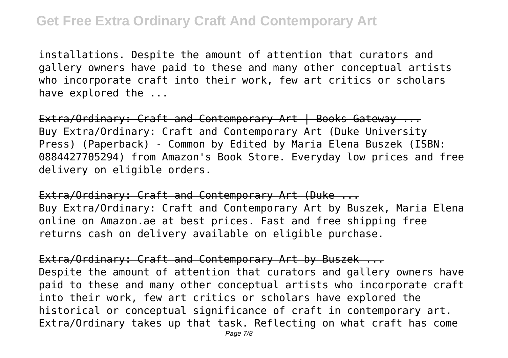installations. Despite the amount of attention that curators and gallery owners have paid to these and many other conceptual artists who incorporate craft into their work, few art critics or scholars have explored the ...

Extra/Ordinary: Craft and Contemporary Art | Books Gateway ... Buy Extra/Ordinary: Craft and Contemporary Art (Duke University Press) (Paperback) - Common by Edited by Maria Elena Buszek (ISBN: 0884427705294) from Amazon's Book Store. Everyday low prices and free delivery on eligible orders.

Extra/Ordinary: Craft and Contemporary Art (Duke ... Buy Extra/Ordinary: Craft and Contemporary Art by Buszek, Maria Elena online on Amazon.ae at best prices. Fast and free shipping free returns cash on delivery available on eligible purchase.

Extra/Ordinary: Craft and Contemporary Art by Buszek ... Despite the amount of attention that curators and gallery owners have paid to these and many other conceptual artists who incorporate craft into their work, few art critics or scholars have explored the historical or conceptual significance of craft in contemporary art. Extra/Ordinary takes up that task. Reflecting on what craft has come